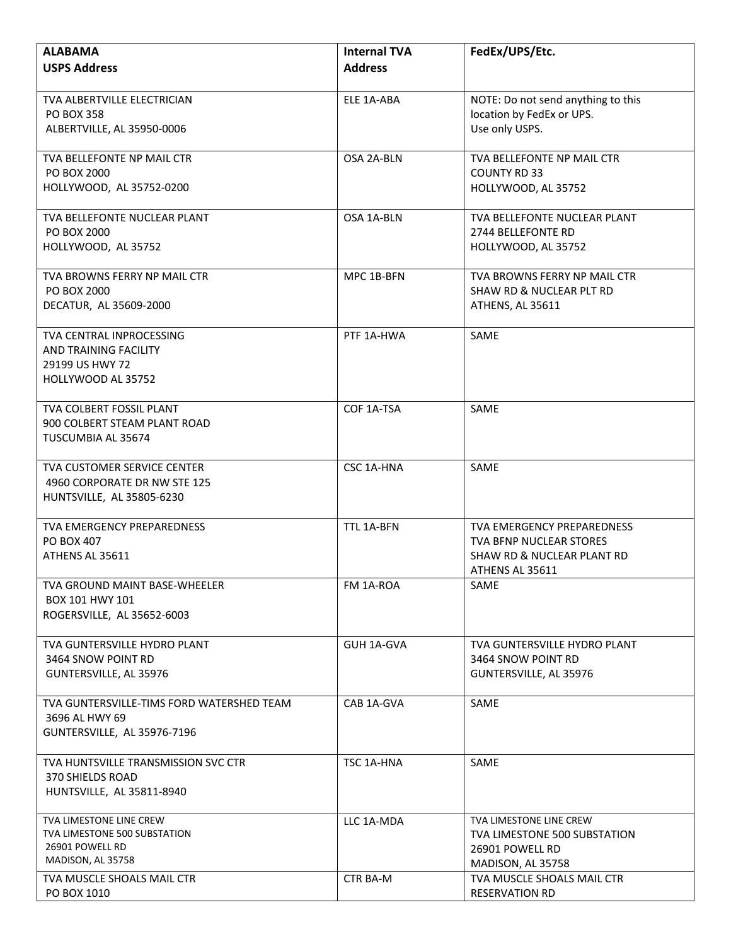| <b>ALABAMA</b>                                   | <b>Internal TVA</b> | FedEx/UPS/Etc.                                                  |
|--------------------------------------------------|---------------------|-----------------------------------------------------------------|
| <b>USPS Address</b>                              | <b>Address</b>      |                                                                 |
|                                                  |                     |                                                                 |
| TVA ALBERTVILLE ELECTRICIAN<br><b>PO BOX 358</b> | ELE 1A-ABA          | NOTE: Do not send anything to this<br>location by FedEx or UPS. |
| ALBERTVILLE, AL 35950-0006                       |                     | Use only USPS.                                                  |
|                                                  |                     |                                                                 |
| TVA BELLEFONTE NP MAIL CTR                       | OSA 2A-BLN          | TVA BELLEFONTE NP MAIL CTR                                      |
| PO BOX 2000                                      |                     | <b>COUNTY RD 33</b>                                             |
| HOLLYWOOD, AL 35752-0200                         |                     | HOLLYWOOD, AL 35752                                             |
| TVA BELLEFONTE NUCLEAR PLANT                     | OSA 1A-BLN          | TVA BELLEFONTE NUCLEAR PLANT                                    |
| PO BOX 2000                                      |                     | 2744 BELLEFONTE RD                                              |
| HOLLYWOOD, AL 35752                              |                     | HOLLYWOOD, AL 35752                                             |
| TVA BROWNS FERRY NP MAIL CTR                     | MPC 1B-BFN          | TVA BROWNS FERRY NP MAIL CTR                                    |
| PO BOX 2000                                      |                     | SHAW RD & NUCLEAR PLT RD                                        |
| DECATUR, AL 35609-2000                           |                     | ATHENS, AL 35611                                                |
| TVA CENTRAL INPROCESSING                         | PTF 1A-HWA          | SAME                                                            |
| <b>AND TRAINING FACILITY</b>                     |                     |                                                                 |
| 29199 US HWY 72                                  |                     |                                                                 |
| HOLLYWOOD AL 35752                               |                     |                                                                 |
| TVA COLBERT FOSSIL PLANT                         | COF 1A-TSA          | SAME                                                            |
| 900 COLBERT STEAM PLANT ROAD                     |                     |                                                                 |
| TUSCUMBIA AL 35674                               |                     |                                                                 |
| <b>TVA CUSTOMER SERVICE CENTER</b>               | CSC 1A-HNA          | SAME                                                            |
| 4960 CORPORATE DR NW STE 125                     |                     |                                                                 |
| HUNTSVILLE, AL 35805-6230                        |                     |                                                                 |
| TVA EMERGENCY PREPAREDNESS                       | TTL 1A-BFN          | <b>TVA EMERGENCY PREPAREDNESS</b>                               |
| PO BOX 407                                       |                     | <b>TVA BENP NUCLEAR STORES</b>                                  |
| ATHENS AL 35611                                  |                     | SHAW RD & NUCLEAR PLANT RD                                      |
|                                                  |                     | ATHENS AL 35611                                                 |
| TVA GROUND MAINT BASE-WHEELER                    | FM 1A-ROA           | <b>SAME</b>                                                     |
| BOX 101 HWY 101<br>ROGERSVILLE, AL 35652-6003    |                     |                                                                 |
|                                                  |                     |                                                                 |
| TVA GUNTERSVILLE HYDRO PLANT                     | GUH 1A-GVA          | TVA GUNTERSVILLE HYDRO PLANT                                    |
| 3464 SNOW POINT RD                               |                     | 3464 SNOW POINT RD                                              |
| GUNTERSVILLE, AL 35976                           |                     | GUNTERSVILLE, AL 35976                                          |
| TVA GUNTERSVILLE-TIMS FORD WATERSHED TEAM        | CAB 1A-GVA          | SAME                                                            |
| 3696 AL HWY 69                                   |                     |                                                                 |
| GUNTERSVILLE, AL 35976-7196                      |                     |                                                                 |
| TVA HUNTSVILLE TRANSMISSION SVC CTR              | TSC 1A-HNA          | SAME                                                            |
| 370 SHIELDS ROAD                                 |                     |                                                                 |
| HUNTSVILLE, AL 35811-8940                        |                     |                                                                 |
| <b>TVA LIMESTONE LINE CREW</b>                   | LLC 1A-MDA          | TVA LIMESTONE LINE CREW                                         |
| TVA LIMESTONE 500 SUBSTATION<br>26901 POWELL RD  |                     | TVA LIMESTONE 500 SUBSTATION                                    |
| MADISON, AL 35758                                |                     | 26901 POWELL RD<br>MADISON, AL 35758                            |
| TVA MUSCLE SHOALS MAIL CTR                       | CTR BA-M            | TVA MUSCLE SHOALS MAIL CTR                                      |
| PO BOX 1010                                      |                     | <b>RESERVATION RD</b>                                           |